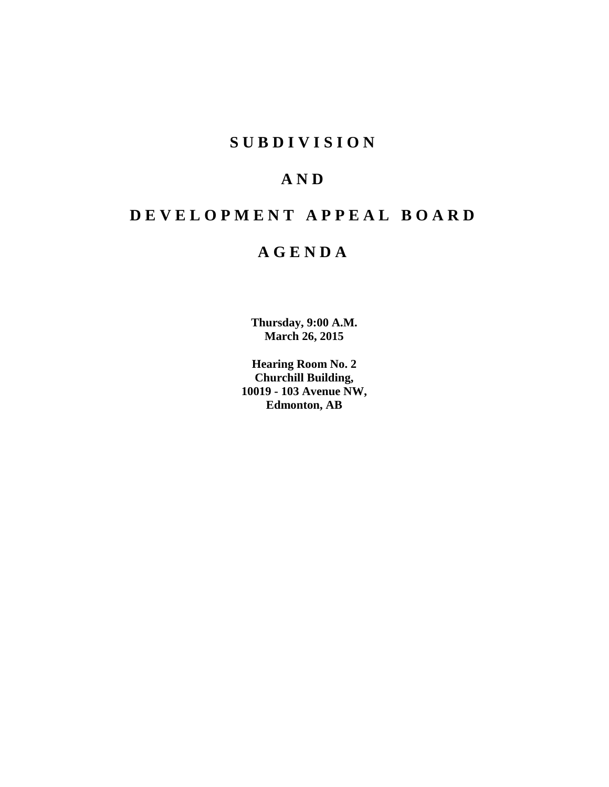# **S U B D I V I S I O N**

# **A N D**

# **D E V E L O P M E N T A P P E A L B O A R D**

# **A G E N D A**

**Thursday, 9:00 A.M. March 26, 2015**

**Hearing Room No. 2 Churchill Building, 10019 - 103 Avenue NW, Edmonton, AB**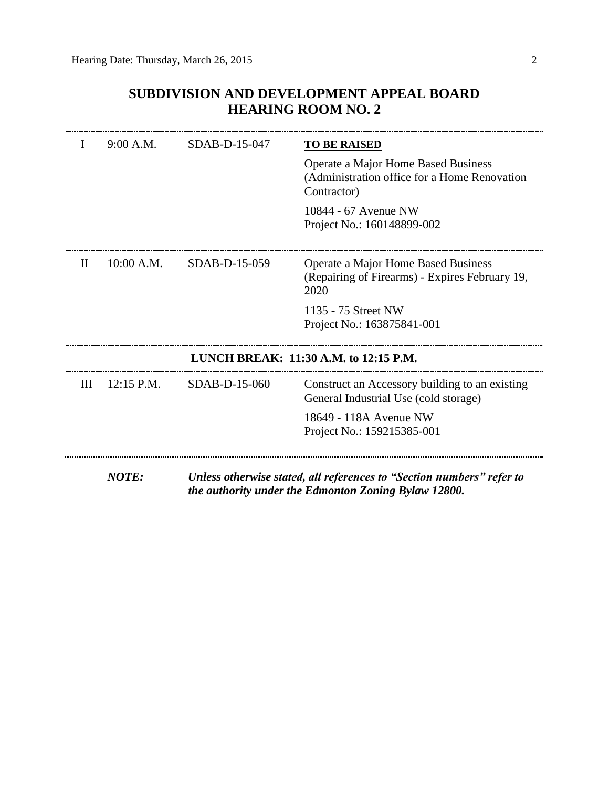# **SUBDIVISION AND DEVELOPMENT APPEAL BOARD HEARING ROOM NO. 2**

|              | 9:00 A.M.    | SDAB-D-15-047 | <b>TO BE RAISED</b>                                                                                                           |
|--------------|--------------|---------------|-------------------------------------------------------------------------------------------------------------------------------|
|              |              |               | Operate a Major Home Based Business<br>(Administration office for a Home Renovation<br>Contractor)                            |
|              |              |               | 10844 - 67 Avenue NW<br>Project No.: 160148899-002                                                                            |
| $\mathbf{H}$ | $10:00$ A.M. | SDAB-D-15-059 | Operate a Major Home Based Business<br>(Repairing of Firearms) - Expires February 19,<br>2020                                 |
|              |              |               | 1135 - 75 Street NW<br>Project No.: 163875841-001                                                                             |
|              |              |               | LUNCH BREAK: 11:30 A.M. to 12:15 P.M.                                                                                         |
| Ш            | $12:15$ P.M. | SDAB-D-15-060 | Construct an Accessory building to an existing<br>General Industrial Use (cold storage)                                       |
|              |              |               | 18649 - 118A Avenue NW<br>Project No.: 159215385-001                                                                          |
|              | <b>NOTE:</b> |               | Unless otherwise stated, all references to "Section numbers" refer to<br>the authority under the Edmonton Zoning Bylaw 12800. |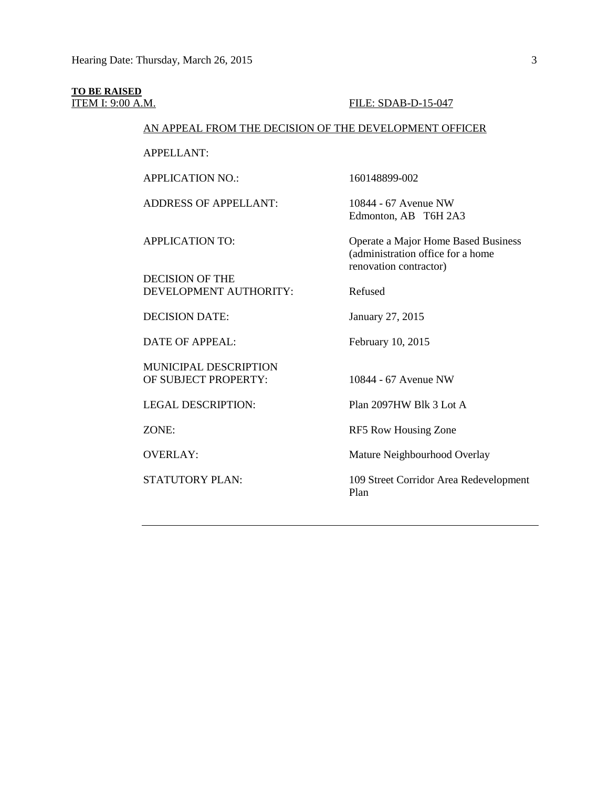# **TO BE RAISED**

#### **ITEM I: 9:00 A.M. FILE: SDAB-D-15-047**

# AN APPEAL FROM THE DECISION OF THE DEVELOPMENT OFFICER

APPELLANT:

APPLICATION NO.: 160148899-002

ADDRESS OF APPELLANT: 10844 - 67 Avenue NW

Edmonton, AB T6H 2A3

DECISION OF THE DEVELOPMENT AUTHORITY: Refused

DECISION DATE: January 27, 2015

DATE OF APPEAL: February 10, 2015

MUNICIPAL DESCRIPTION OF SUBJECT PROPERTY: 10844 - 67 Avenue NW

APPLICATION TO: Operate a Major Home Based Business (administration office for a home renovation contractor)

LEGAL DESCRIPTION: Plan 2097HW Blk 3 Lot A

ZONE: RF5 Row Housing Zone

OVERLAY: Mature Neighbourhood Overlay

STATUTORY PLAN: 109 Street Corridor Area Redevelopment Plan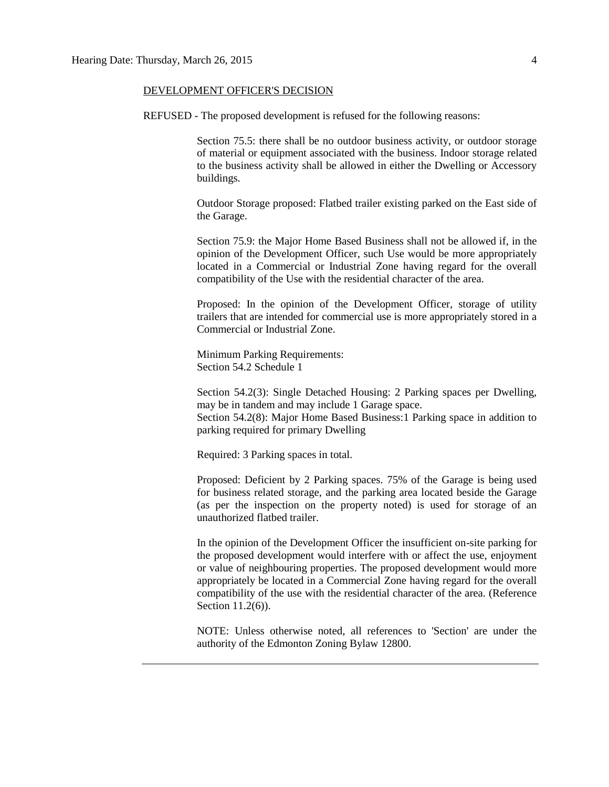#### DEVELOPMENT OFFICER'S DECISION

REFUSED - The proposed development is refused for the following reasons:

Section 75.5: there shall be no outdoor business activity, or outdoor storage of material or equipment associated with the business. Indoor storage related to the business activity shall be allowed in either the Dwelling or Accessory buildings.

Outdoor Storage proposed: Flatbed trailer existing parked on the East side of the Garage.

Section 75.9: the Major Home Based Business shall not be allowed if, in the opinion of the Development Officer, such Use would be more appropriately located in a Commercial or Industrial Zone having regard for the overall compatibility of the Use with the residential character of the area.

Proposed: In the opinion of the Development Officer, storage of utility trailers that are intended for commercial use is more appropriately stored in a Commercial or Industrial Zone.

Minimum Parking Requirements: Section 54.2 Schedule 1

Section 54.2(3): Single Detached Housing: 2 Parking spaces per Dwelling, may be in tandem and may include 1 Garage space.

Section 54.2(8): Major Home Based Business:1 Parking space in addition to parking required for primary Dwelling

Required: 3 Parking spaces in total.

Proposed: Deficient by 2 Parking spaces. 75% of the Garage is being used for business related storage, and the parking area located beside the Garage (as per the inspection on the property noted) is used for storage of an unauthorized flatbed trailer.

In the opinion of the Development Officer the insufficient on-site parking for the proposed development would interfere with or affect the use, enjoyment or value of neighbouring properties. The proposed development would more appropriately be located in a Commercial Zone having regard for the overall compatibility of the use with the residential character of the area. (Reference Section 11.2(6)).

NOTE: Unless otherwise noted, all references to 'Section' are under the authority of the Edmonton Zoning Bylaw 12800.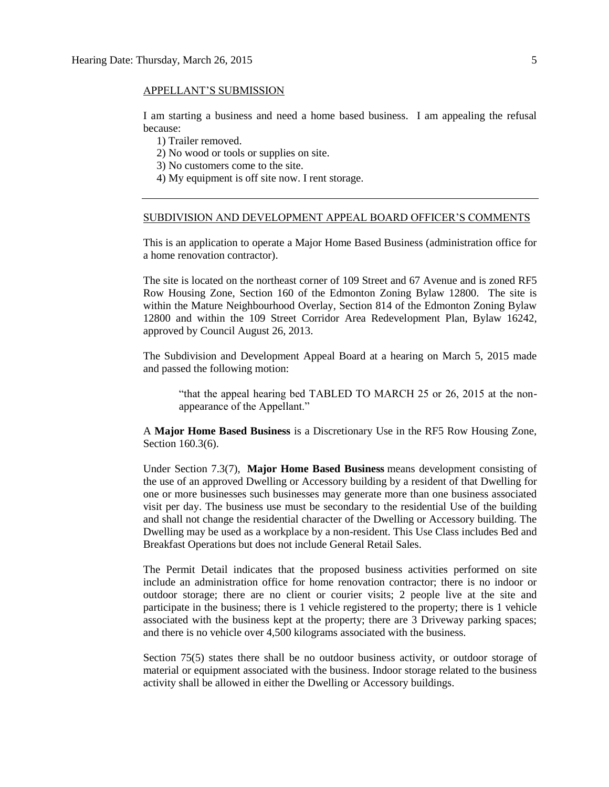#### APPELLANT'S SUBMISSION

I am starting a business and need a home based business. I am appealing the refusal because:

1) Trailer removed.

2) No wood or tools or supplies on site.

3) No customers come to the site.

4) My equipment is off site now. I rent storage.

#### SUBDIVISION AND DEVELOPMENT APPEAL BOARD OFFICER'S COMMENTS

This is an application to operate a Major Home Based Business (administration office for a home renovation contractor).

The site is located on the northeast corner of 109 Street and 67 Avenue and is zoned RF5 Row Housing Zone, Section 160 of the Edmonton Zoning Bylaw 12800. The site is within the Mature Neighbourhood Overlay, Section 814 of the Edmonton Zoning Bylaw 12800 and within the 109 Street Corridor Area Redevelopment Plan, Bylaw 16242, approved by Council August 26, 2013.

The Subdivision and Development Appeal Board at a hearing on March 5, 2015 made and passed the following motion:

"that the appeal hearing bed TABLED TO MARCH 25 or 26, 2015 at the nonappearance of the Appellant."

A **Major Home Based Business** is a Discretionary Use in the RF5 Row Housing Zone, Section 160.3(6).

Under Section 7.3(7), **Major Home Based Business** means development consisting of the use of an approved Dwelling or Accessory building by a resident of that Dwelling for one or more businesses such businesses may generate more than one business associated visit per day. The business use must be secondary to the residential Use of the building and shall not change the residential character of the Dwelling or Accessory building. The Dwelling may be used as a workplace by a non-resident. This Use Class includes Bed and Breakfast Operations but does not include General Retail Sales.

The Permit Detail indicates that the proposed business activities performed on site include an administration office for home renovation contractor; there is no indoor or outdoor storage; there are no client or courier visits; 2 people live at the site and participate in the business; there is 1 vehicle registered to the property; there is 1 vehicle associated with the business kept at the property; there are 3 Driveway parking spaces; and there is no vehicle over 4,500 kilograms associated with the business.

Section 75(5) states there shall be no outdoor business activity, or outdoor storage of material or equipment associated with the business. Indoor storage related to the business activity shall be allowed in either the Dwelling or Accessory buildings.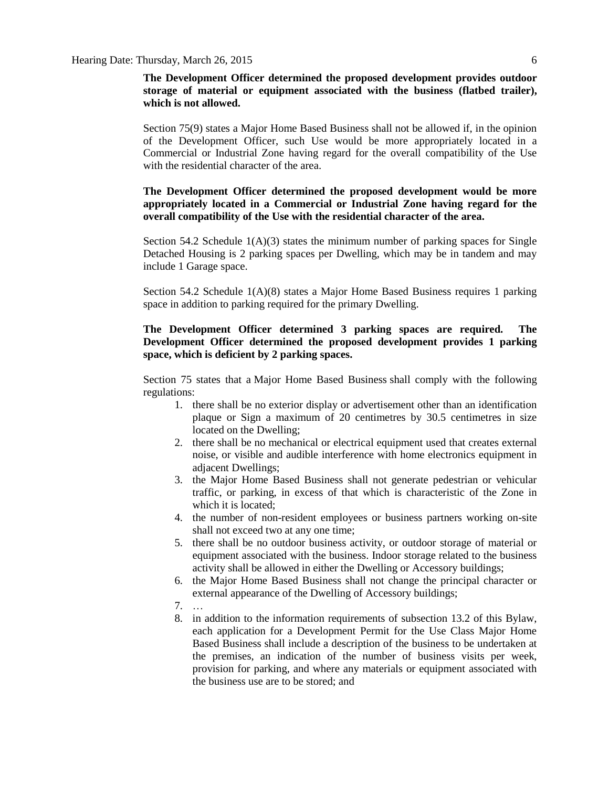### **The Development Officer determined the proposed development provides outdoor storage of material or equipment associated with the business (flatbed trailer), which is not allowed.**

Section 75(9) states a Major Home Based Business shall not be allowed if, in the opinion of the Development Officer, such Use would be more appropriately located in a Commercial or Industrial Zone having regard for the overall compatibility of the Use with the residential character of the area.

# **The Development Officer determined the proposed development would be more appropriately located in a Commercial or Industrial Zone having regard for the overall compatibility of the Use with the residential character of the area.**

Section 54.2 Schedule  $1(A)(3)$  states the minimum number of parking spaces for Single Detached Housing is 2 parking spaces per Dwelling, which may be in tandem and may include 1 Garage space.

Section 54.2 Schedule 1(A)(8) states a Major Home Based Business requires 1 parking space in addition to parking required for the primary Dwelling.

# **The Development Officer determined 3 parking spaces are required. The Development Officer determined the proposed development provides 1 parking space, which is deficient by 2 parking spaces.**

Section 75 states that a [Major Home Based Business](javascript:void(0);) shall comply with the following regulations:

- 1. there shall be no exterior display or advertisement other than an identification plaque or Sign a maximum of 20 centimetres by 30.5 centimetres in size located on the Dwelling;
- 2. there shall be no mechanical or electrical equipment used that creates external noise, or visible and audible interference with home electronics equipment in adjacent Dwellings;
- 3. the Major Home Based Business shall not generate pedestrian or vehicular traffic, or parking, in excess of that which is characteristic of the Zone in which it is located;
- 4. the number of non-resident employees or business partners working on-site shall not exceed two at any one time;
- 5. there shall be no outdoor business activity, or outdoor storage of material or equipment associated with the business. Indoor storage related to the business activity shall be allowed in either the Dwelling or Accessory buildings;
- 6. the Major Home Based Business shall not change the principal character or external appearance of the Dwelling of Accessory buildings;
- 7. …
- 8. in addition to the information requirements of subsection 13.2 of this Bylaw, each application for a Development Permit for the Use Class Major Home Based Business shall include a description of the business to be undertaken at the premises, an indication of the number of business visits per week, provision for parking, and where any materials or equipment associated with the business use are to be stored; and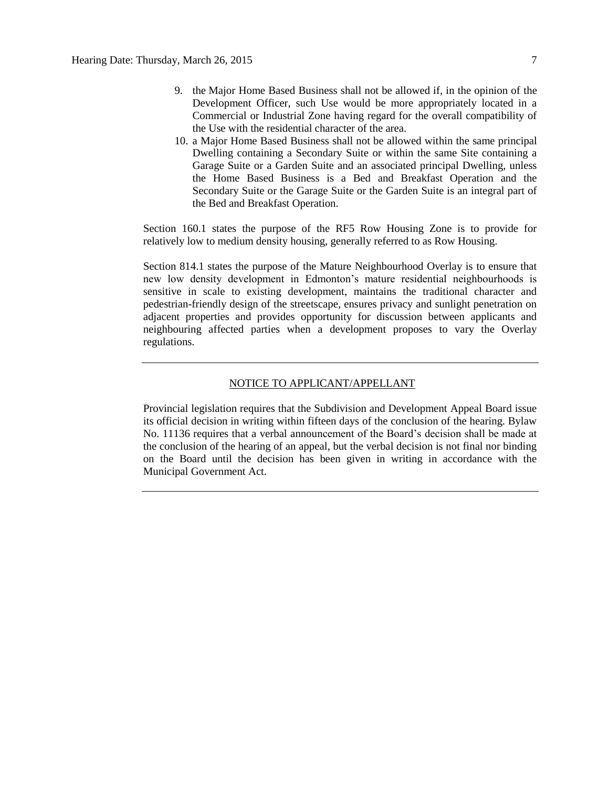- 9. the Major Home Based Business shall not be allowed if, in the opinion of the Development Officer, such Use would be more appropriately located in a Commercial or Industrial Zone having regard for the overall compatibility of the Use with the residential character of the area.
- 10. a Major Home Based Business shall not be allowed within the same principal Dwelling containing a Secondary Suite or within the same Site containing a Garage Suite or a Garden Suite and an associated principal Dwelling, unless the Home Based Business is a Bed and Breakfast Operation and the Secondary Suite or the Garage Suite or the Garden Suite is an integral part of the Bed and Breakfast Operation.

Section 160.1 states the purpose of the RF5 Row Housing Zone is to provide for relatively low to medium density housing, generally referred to as Row Housing.

Section 814.1 states the purpose of the Mature Neighbourhood Overlay is to ensure that new low density development in Edmonton's mature residential neighbourhoods is sensitive in scale to existing development, maintains the traditional character and pedestrian-friendly design of the streetscape, ensures privacy and sunlight penetration on adjacent properties and provides opportunity for discussion between applicants and neighbouring affected parties when a development proposes to vary the Overlay regulations.

### NOTICE TO APPLICANT/APPELLANT

Provincial legislation requires that the Subdivision and Development Appeal Board issue its official decision in writing within fifteen days of the conclusion of the hearing. Bylaw No. 11136 requires that a verbal announcement of the Board's decision shall be made at the conclusion of the hearing of an appeal, but the verbal decision is not final nor binding on the Board until the decision has been given in writing in accordance with the Municipal Government Act.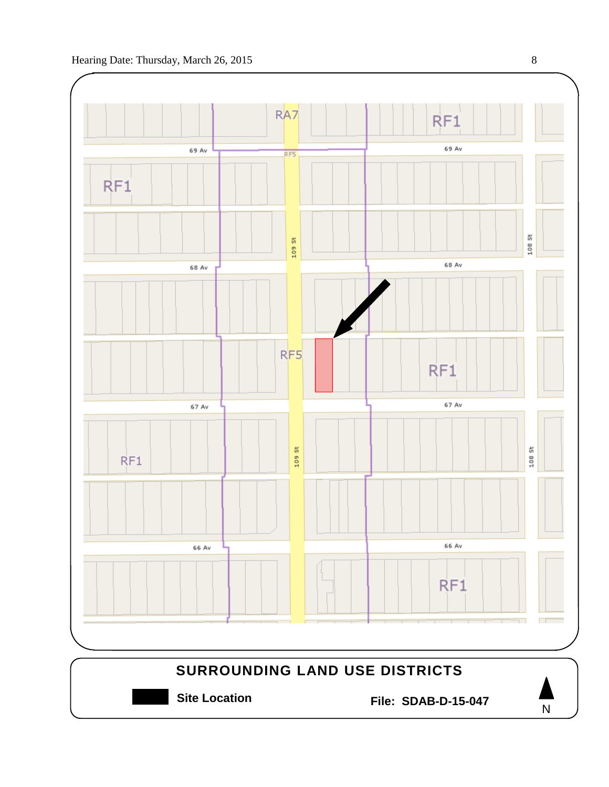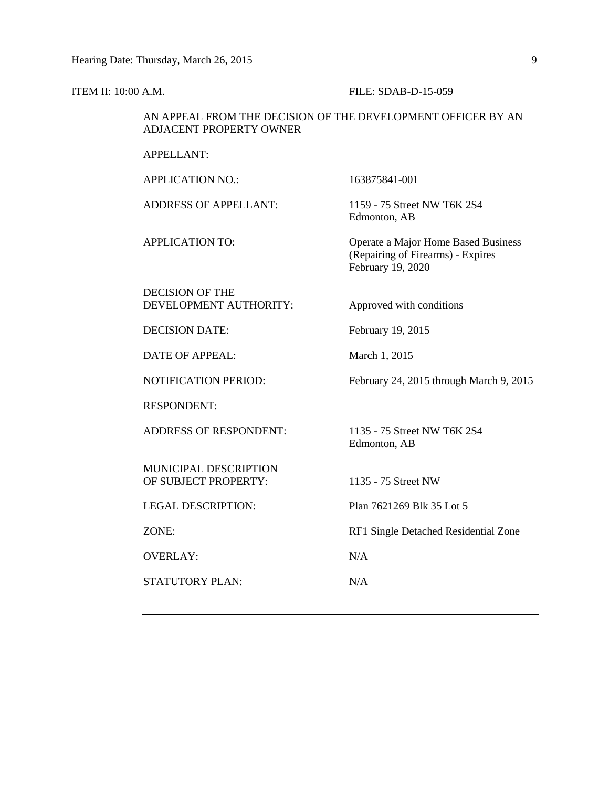#### **ITEM II: 10:00 A.M. FILE: SDAB-D-15-059**

## AN APPEAL FROM THE DECISION OF THE DEVELOPMENT OFFICER BY AN ADJACENT PROPERTY OWNER

APPELLANT:

APPLICATION NO.: 163875841-001

ADDRESS OF APPELLANT: 1159 - 75 Street NW T6K 2S4 Edmonton, AB

APPLICATION TO: Operate a Major Home Based Business (Repairing of Firearms) - Expires February 19, 2020

DECISION OF THE DEVELOPMENT AUTHORITY: Approved with conditions

DECISION DATE: February 19, 2015

DATE OF APPEAL: March 1, 2015

RESPONDENT:

ADDRESS OF RESPONDENT: 1135 - 75 Street NW T6K 2S4

MUNICIPAL DESCRIPTION OF SUBJECT PROPERTY: 1135 - 75 Street NW

OVERLAY: N/A

STATUTORY PLAN: N/A

NOTIFICATION PERIOD: February 24, 2015 through March 9, 2015

Edmonton, AB

LEGAL DESCRIPTION: Plan 7621269 Blk 35 Lot 5

ZONE: RF1 Single Detached Residential Zone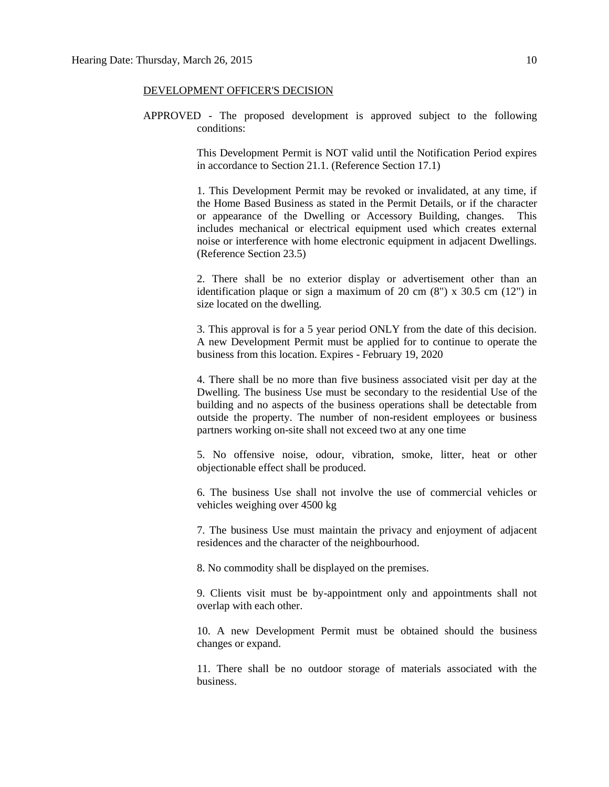#### DEVELOPMENT OFFICER'S DECISION

APPROVED - The proposed development is approved subject to the following conditions:

> This Development Permit is NOT valid until the Notification Period expires in accordance to Section 21.1. (Reference Section 17.1)

> 1. This Development Permit may be revoked or invalidated, at any time, if the Home Based Business as stated in the Permit Details, or if the character or appearance of the Dwelling or Accessory Building, changes. This includes mechanical or electrical equipment used which creates external noise or interference with home electronic equipment in adjacent Dwellings. (Reference Section 23.5)

> 2. There shall be no exterior display or advertisement other than an identification plaque or sign a maximum of 20 cm  $(8)$  x 30.5 cm  $(12)$  in size located on the dwelling.

> 3. This approval is for a 5 year period ONLY from the date of this decision. A new Development Permit must be applied for to continue to operate the business from this location. Expires - February 19, 2020

> 4. There shall be no more than five business associated visit per day at the Dwelling. The business Use must be secondary to the residential Use of the building and no aspects of the business operations shall be detectable from outside the property. The number of non-resident employees or business partners working on-site shall not exceed two at any one time

> 5. No offensive noise, odour, vibration, smoke, litter, heat or other objectionable effect shall be produced.

> 6. The business Use shall not involve the use of commercial vehicles or vehicles weighing over 4500 kg

> 7. The business Use must maintain the privacy and enjoyment of adjacent residences and the character of the neighbourhood.

8. No commodity shall be displayed on the premises.

9. Clients visit must be by-appointment only and appointments shall not overlap with each other.

10. A new Development Permit must be obtained should the business changes or expand.

11. There shall be no outdoor storage of materials associated with the business.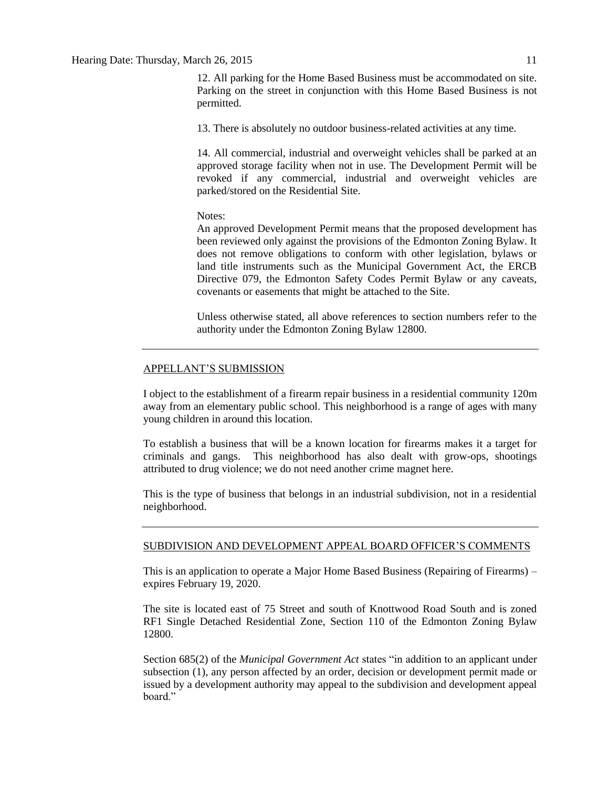12. All parking for the Home Based Business must be accommodated on site. Parking on the street in conjunction with this Home Based Business is not permitted.

13. There is absolutely no outdoor business-related activities at any time.

14. All commercial, industrial and overweight vehicles shall be parked at an approved storage facility when not in use. The Development Permit will be revoked if any commercial, industrial and overweight vehicles are parked/stored on the Residential Site.

#### Notes:

An approved Development Permit means that the proposed development has been reviewed only against the provisions of the Edmonton Zoning Bylaw. It does not remove obligations to conform with other legislation, bylaws or land title instruments such as the Municipal Government Act, the ERCB Directive 079, the Edmonton Safety Codes Permit Bylaw or any caveats, covenants or easements that might be attached to the Site.

Unless otherwise stated, all above references to section numbers refer to the authority under the Edmonton Zoning Bylaw 12800.

### APPELLANT'S SUBMISSION

I object to the establishment of a firearm repair business in a residential community 120m away from an elementary public school. This neighborhood is a range of ages with many young children in around this location.

To establish a business that will be a known location for firearms makes it a target for criminals and gangs. This neighborhood has also dealt with grow-ops, shootings attributed to drug violence; we do not need another crime magnet here.

This is the type of business that belongs in an industrial subdivision, not in a residential neighborhood.

#### SUBDIVISION AND DEVELOPMENT APPEAL BOARD OFFICER'S COMMENTS

This is an application to operate a Major Home Based Business (Repairing of Firearms) – expires February 19, 2020.

The site is located east of 75 Street and south of Knottwood Road South and is zoned RF1 Single Detached Residential Zone, Section 110 of the Edmonton Zoning Bylaw 12800.

Section 685(2) of the *Municipal Government Act* states "in addition to an applicant under subsection (1), any person affected by an order, decision or development permit made or issued by a development authority may appeal to the subdivision and development appeal board."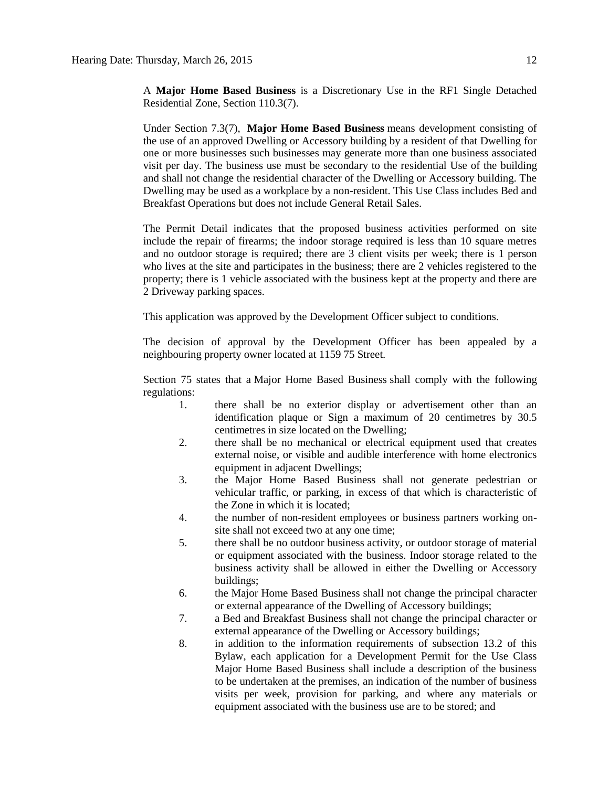A **Major Home Based Business** is a Discretionary Use in the RF1 Single Detached Residential Zone, Section 110.3(7).

Under Section 7.3(7), **Major Home Based Business** means development consisting of the use of an approved Dwelling or Accessory building by a resident of that Dwelling for one or more businesses such businesses may generate more than one business associated visit per day. The business use must be secondary to the residential Use of the building and shall not change the residential character of the Dwelling or Accessory building. The Dwelling may be used as a workplace by a non-resident. This Use Class includes Bed and Breakfast Operations but does not include General Retail Sales.

The Permit Detail indicates that the proposed business activities performed on site include the repair of firearms; the indoor storage required is less than 10 square metres and no outdoor storage is required; there are 3 client visits per week; there is 1 person who lives at the site and participates in the business; there are 2 vehicles registered to the property; there is 1 vehicle associated with the business kept at the property and there are 2 Driveway parking spaces.

This application was approved by the Development Officer subject to conditions.

The decision of approval by the Development Officer has been appealed by a neighbouring property owner located at 1159 75 Street.

Section 75 states that a [Major Home Based Business](javascript:void(0);) shall comply with the following regulations:

- 1. there shall be no exterior display or advertisement other than an identification plaque or Sign a maximum of 20 centimetres by 30.5 centimetres in size located on the Dwelling;
- 2. there shall be no mechanical or electrical equipment used that creates external noise, or visible and audible interference with home electronics equipment in adjacent Dwellings;
- 3. the Major Home Based Business shall not generate pedestrian or vehicular traffic, or parking, in excess of that which is characteristic of the Zone in which it is located;
- 4. the number of non-resident employees or business partners working onsite shall not exceed two at any one time;
- 5. there shall be no outdoor business activity, or outdoor storage of material or equipment associated with the business. Indoor storage related to the business activity shall be allowed in either the Dwelling or Accessory buildings;
- 6. the Major Home Based Business shall not change the principal character or external appearance of the Dwelling of Accessory buildings;
- 7. a Bed and Breakfast Business shall not change the principal character or external appearance of the Dwelling or Accessory buildings;
- 8. in addition to the information requirements of subsection 13.2 of this Bylaw, each application for a Development Permit for the Use Class Major Home Based Business shall include a description of the business to be undertaken at the premises, an indication of the number of business visits per week, provision for parking, and where any materials or equipment associated with the business use are to be stored; and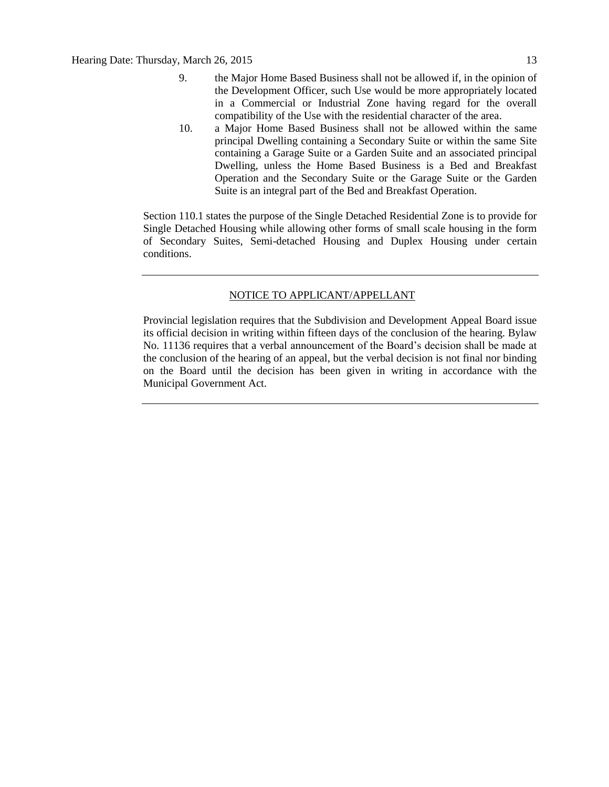- 9. the Major Home Based Business shall not be allowed if, in the opinion of the Development Officer, such Use would be more appropriately located in a Commercial or Industrial Zone having regard for the overall compatibility of the Use with the residential character of the area.
- 10. a Major Home Based Business shall not be allowed within the same principal Dwelling containing a Secondary Suite or within the same Site containing a Garage Suite or a Garden Suite and an associated principal Dwelling, unless the Home Based Business is a Bed and Breakfast Operation and the Secondary Suite or the Garage Suite or the Garden Suite is an integral part of the Bed and Breakfast Operation.

Section 110.1 states the purpose of the Single Detached Residential Zone is to provide for Single Detached Housing while allowing other forms of small scale housing in the form of Secondary Suites, Semi-detached Housing and Duplex Housing under certain conditions.

### NOTICE TO APPLICANT/APPELLANT

Provincial legislation requires that the Subdivision and Development Appeal Board issue its official decision in writing within fifteen days of the conclusion of the hearing. Bylaw No. 11136 requires that a verbal announcement of the Board's decision shall be made at the conclusion of the hearing of an appeal, but the verbal decision is not final nor binding on the Board until the decision has been given in writing in accordance with the Municipal Government Act.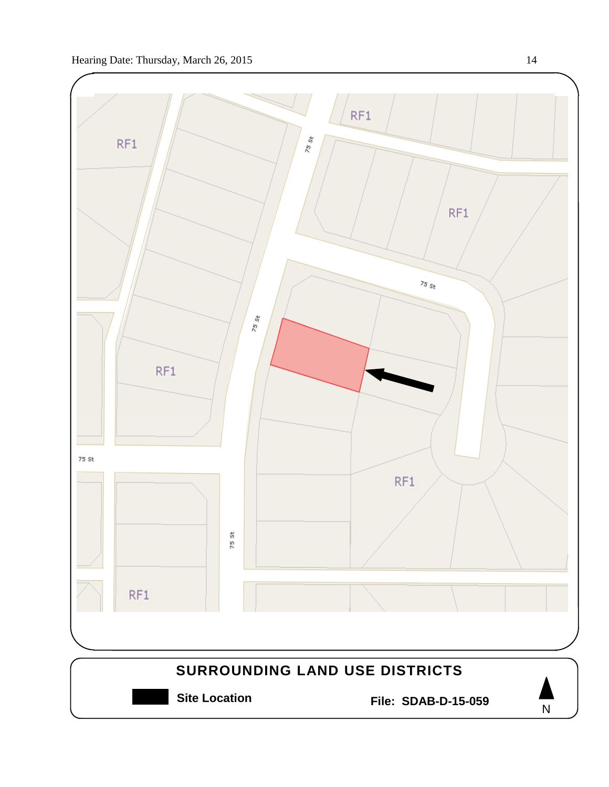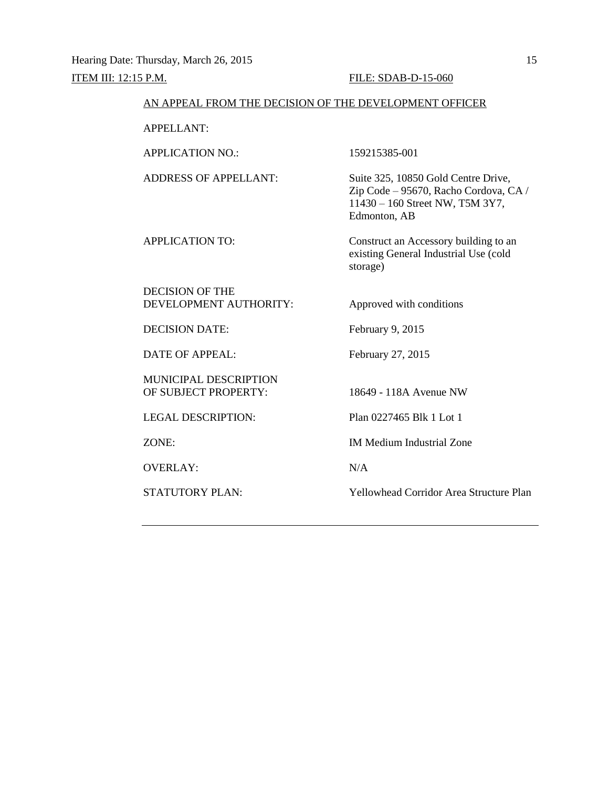#### AN APPEAL FROM THE DECISION OF THE DEVELOPMENT OFFICER

APPELLANT:

APPLICATION NO.: 159215385-001

ADDRESS OF APPELLANT: Suite 325, 10850 Gold Centre Drive, Zip Code – 95670, Racho Cordova, CA / 11430 – 160 Street NW, T5M 3Y7, Edmonton, AB

APPLICATION TO: Construct an Accessory building to an existing General Industrial Use (cold storage)

DECISION OF THE DEVELOPMENT AUTHORITY: Approved with conditions

DECISION DATE: February 9, 2015

DATE OF APPEAL: February 27, 2015

MUNICIPAL DESCRIPTION OF SUBJECT PROPERTY: 18649 - 118A Avenue NW

OVERLAY: N/A

LEGAL DESCRIPTION: Plan 0227465 Blk 1 Lot 1

ZONE: IM Medium Industrial Zone

STATUTORY PLAN: Yellowhead Corridor Area Structure Plan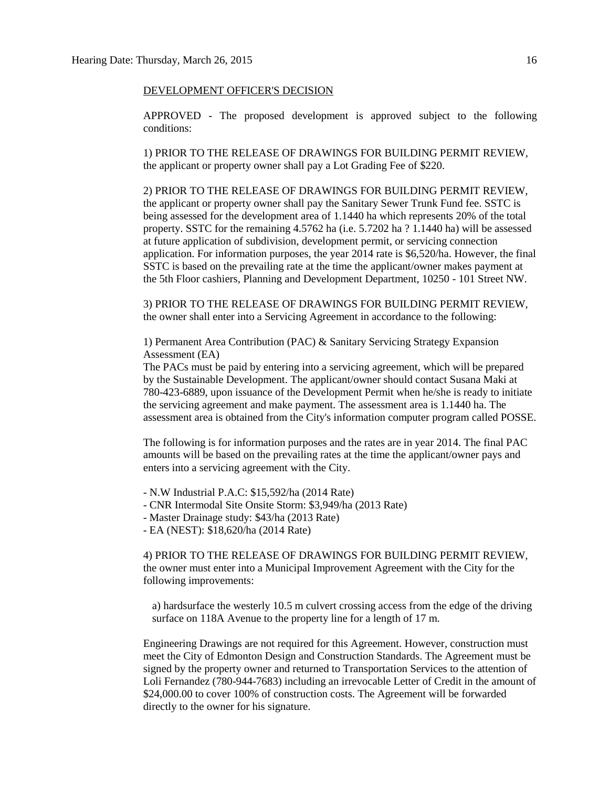#### DEVELOPMENT OFFICER'S DECISION

APPROVED - The proposed development is approved subject to the following conditions:

1) PRIOR TO THE RELEASE OF DRAWINGS FOR BUILDING PERMIT REVIEW, the applicant or property owner shall pay a Lot Grading Fee of \$220.

2) PRIOR TO THE RELEASE OF DRAWINGS FOR BUILDING PERMIT REVIEW, the applicant or property owner shall pay the Sanitary Sewer Trunk Fund fee. SSTC is being assessed for the development area of 1.1440 ha which represents 20% of the total property. SSTC for the remaining 4.5762 ha (i.e. 5.7202 ha ? 1.1440 ha) will be assessed at future application of subdivision, development permit, or servicing connection application. For information purposes, the year 2014 rate is \$6,520/ha. However, the final SSTC is based on the prevailing rate at the time the applicant/owner makes payment at the 5th Floor cashiers, Planning and Development Department, 10250 - 101 Street NW.

3) PRIOR TO THE RELEASE OF DRAWINGS FOR BUILDING PERMIT REVIEW, the owner shall enter into a Servicing Agreement in accordance to the following:

1) Permanent Area Contribution (PAC) & Sanitary Servicing Strategy Expansion Assessment (EA)

The PACs must be paid by entering into a servicing agreement, which will be prepared by the Sustainable Development. The applicant/owner should contact Susana Maki at 780-423-6889, upon issuance of the Development Permit when he/she is ready to initiate the servicing agreement and make payment. The assessment area is 1.1440 ha. The assessment area is obtained from the City's information computer program called POSSE.

The following is for information purposes and the rates are in year 2014. The final PAC amounts will be based on the prevailing rates at the time the applicant/owner pays and enters into a servicing agreement with the City.

- N.W Industrial P.A.C: \$15,592/ha (2014 Rate)
- CNR Intermodal Site Onsite Storm: \$3,949/ha (2013 Rate)
- Master Drainage study: \$43/ha (2013 Rate)
- EA (NEST): \$18,620/ha (2014 Rate)

4) PRIOR TO THE RELEASE OF DRAWINGS FOR BUILDING PERMIT REVIEW, the owner must enter into a Municipal Improvement Agreement with the City for the following improvements:

a) hardsurface the westerly 10.5 m culvert crossing access from the edge of the driving surface on 118A Avenue to the property line for a length of 17 m.

Engineering Drawings are not required for this Agreement. However, construction must meet the City of Edmonton Design and Construction Standards. The Agreement must be signed by the property owner and returned to Transportation Services to the attention of Loli Fernandez (780-944-7683) including an irrevocable Letter of Credit in the amount of \$24,000.00 to cover 100% of construction costs. The Agreement will be forwarded directly to the owner for his signature.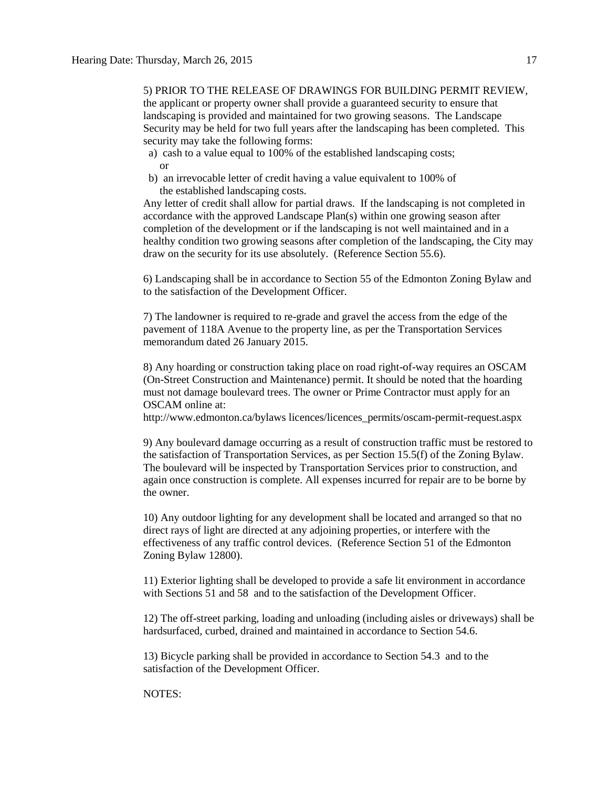5) PRIOR TO THE RELEASE OF DRAWINGS FOR BUILDING PERMIT REVIEW, the applicant or property owner shall provide a guaranteed security to ensure that landscaping is provided and maintained for two growing seasons. The Landscape Security may be held for two full years after the landscaping has been completed. This security may take the following forms:

- a) cash to a value equal to 100% of the established landscaping costs; or
- b) an irrevocable letter of credit having a value equivalent to 100% of the established landscaping costs.

Any letter of credit shall allow for partial draws. If the landscaping is not completed in accordance with the approved Landscape Plan(s) within one growing season after completion of the development or if the landscaping is not well maintained and in a healthy condition two growing seasons after completion of the landscaping, the City may draw on the security for its use absolutely. (Reference Section 55.6).

6) Landscaping shall be in accordance to Section 55 of the Edmonton Zoning Bylaw and to the satisfaction of the Development Officer.

7) The landowner is required to re-grade and gravel the access from the edge of the pavement of 118A Avenue to the property line, as per the Transportation Services memorandum dated 26 January 2015.

8) Any hoarding or construction taking place on road right-of-way requires an OSCAM (On-Street Construction and Maintenance) permit. It should be noted that the hoarding must not damage boulevard trees. The owner or Prime Contractor must apply for an OSCAM online at:

http://www.edmonton.ca/bylaws licences/licences\_permits/oscam-permit-request.aspx

9) Any boulevard damage occurring as a result of construction traffic must be restored to the satisfaction of Transportation Services, as per Section 15.5(f) of the Zoning Bylaw. The boulevard will be inspected by Transportation Services prior to construction, and again once construction is complete. All expenses incurred for repair are to be borne by the owner.

10) Any outdoor lighting for any development shall be located and arranged so that no direct rays of light are directed at any adjoining properties, or interfere with the effectiveness of any traffic control devices. (Reference Section 51 of the Edmonton Zoning Bylaw 12800).

11) Exterior lighting shall be developed to provide a safe lit environment in accordance with Sections 51 and 58 and to the satisfaction of the Development Officer.

12) The off-street parking, loading and unloading (including aisles or driveways) shall be hardsurfaced, curbed, drained and maintained in accordance to Section 54.6.

13) Bicycle parking shall be provided in accordance to Section 54.3 and to the satisfaction of the Development Officer.

NOTES: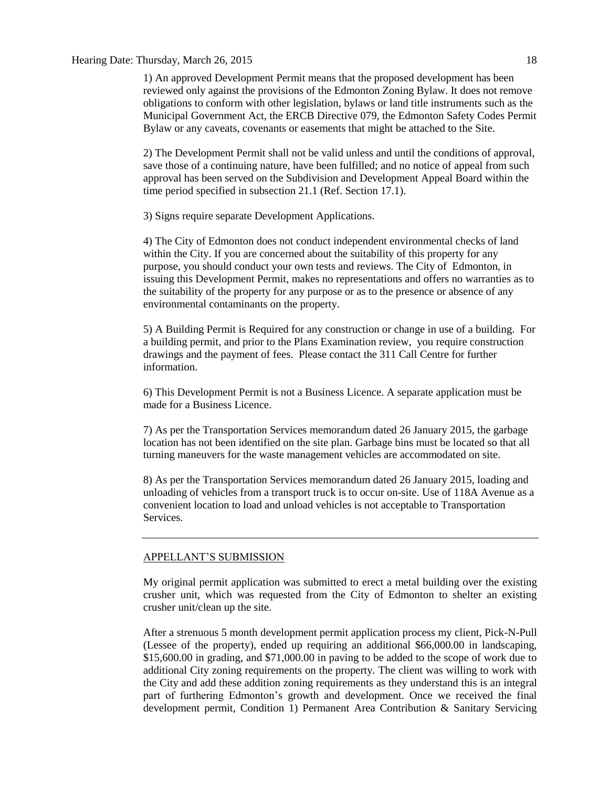# Hearing Date: Thursday, March 26, 2015 18

1) An approved Development Permit means that the proposed development has been reviewed only against the provisions of the Edmonton Zoning Bylaw. It does not remove obligations to conform with other legislation, bylaws or land title instruments such as the Municipal Government Act, the ERCB Directive 079, the Edmonton Safety Codes Permit Bylaw or any caveats, covenants or easements that might be attached to the Site.

2) The Development Permit shall not be valid unless and until the conditions of approval, save those of a continuing nature, have been fulfilled; and no notice of appeal from such approval has been served on the Subdivision and Development Appeal Board within the time period specified in subsection 21.1 (Ref. Section 17.1).

3) Signs require separate Development Applications.

4) The City of Edmonton does not conduct independent environmental checks of land within the City. If you are concerned about the suitability of this property for any purpose, you should conduct your own tests and reviews. The City of Edmonton, in issuing this Development Permit, makes no representations and offers no warranties as to the suitability of the property for any purpose or as to the presence or absence of any environmental contaminants on the property.

5) A Building Permit is Required for any construction or change in use of a building. For a building permit, and prior to the Plans Examination review, you require construction drawings and the payment of fees. Please contact the 311 Call Centre for further information.

6) This Development Permit is not a Business Licence. A separate application must be made for a Business Licence.

7) As per the Transportation Services memorandum dated 26 January 2015, the garbage location has not been identified on the site plan. Garbage bins must be located so that all turning maneuvers for the waste management vehicles are accommodated on site.

8) As per the Transportation Services memorandum dated 26 January 2015, loading and unloading of vehicles from a transport truck is to occur on-site. Use of 118A Avenue as a convenient location to load and unload vehicles is not acceptable to Transportation Services.

### APPELLANT'S SUBMISSION

My original permit application was submitted to erect a metal building over the existing crusher unit, which was requested from the City of Edmonton to shelter an existing crusher unit/clean up the site.

After a strenuous 5 month development permit application process my client, Pick-N-Pull (Lessee of the property), ended up requiring an additional \$66,000.00 in landscaping, \$15,600.00 in grading, and \$71,000.00 in paving to be added to the scope of work due to additional City zoning requirements on the property. The client was willing to work with the City and add these addition zoning requirements as they understand this is an integral part of furthering Edmonton's growth and development. Once we received the final development permit, Condition 1) Permanent Area Contribution & Sanitary Servicing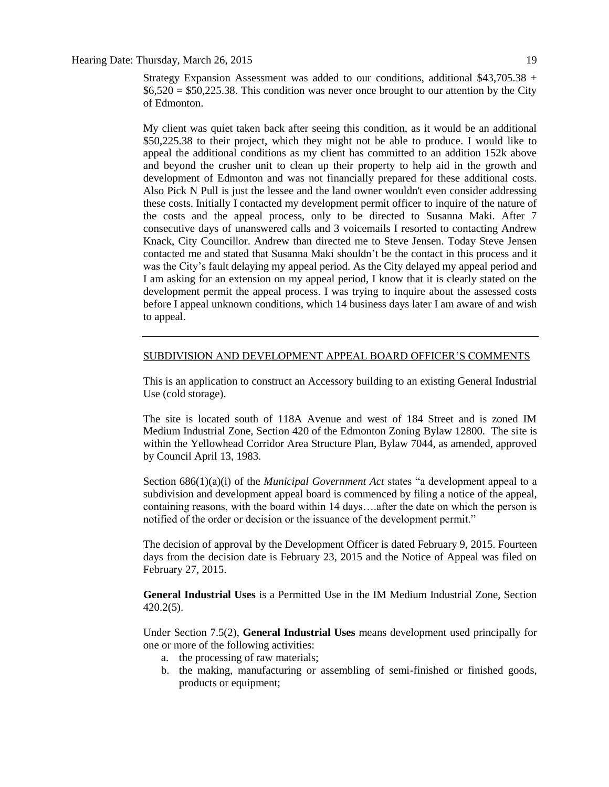Hearing Date: Thursday, March 26, 2015 19

Strategy Expansion Assessment was added to our conditions, additional  $$43,705.38$  +  $$6,520 = $50,225.38$ . This condition was never once brought to our attention by the City of Edmonton.

My client was quiet taken back after seeing this condition, as it would be an additional \$50,225.38 to their project, which they might not be able to produce. I would like to appeal the additional conditions as my client has committed to an addition 152k above and beyond the crusher unit to clean up their property to help aid in the growth and development of Edmonton and was not financially prepared for these additional costs. Also Pick N Pull is just the lessee and the land owner wouldn't even consider addressing these costs. Initially I contacted my development permit officer to inquire of the nature of the costs and the appeal process, only to be directed to Susanna Maki. After 7 consecutive days of unanswered calls and 3 voicemails I resorted to contacting Andrew Knack, City Councillor. Andrew than directed me to Steve Jensen. Today Steve Jensen contacted me and stated that Susanna Maki shouldn't be the contact in this process and it was the City's fault delaying my appeal period. As the City delayed my appeal period and I am asking for an extension on my appeal period, I know that it is clearly stated on the development permit the appeal process. I was trying to inquire about the assessed costs before I appeal unknown conditions, which 14 business days later I am aware of and wish to appeal.

# SUBDIVISION AND DEVELOPMENT APPEAL BOARD OFFICER'S COMMENTS

This is an application to construct an Accessory building to an existing General Industrial Use (cold storage).

The site is located south of 118A Avenue and west of 184 Street and is zoned IM Medium Industrial Zone, Section 420 of the Edmonton Zoning Bylaw 12800. The site is within the Yellowhead Corridor Area Structure Plan, Bylaw 7044, as amended, approved by Council April 13, 1983.

Section 686(1)(a)(i) of the *Municipal Government Act* states "a development appeal to a subdivision and development appeal board is commenced by filing a notice of the appeal, containing reasons, with the board within 14 days….after the date on which the person is notified of the order or decision or the issuance of the development permit."

The decision of approval by the Development Officer is dated February 9, 2015. Fourteen days from the decision date is February 23, 2015 and the Notice of Appeal was filed on February 27, 2015.

**General Industrial Uses** is a Permitted Use in the IM Medium Industrial Zone, Section 420.2(5).

Under Section 7.5(2), **General Industrial Uses** means development used principally for one or more of the following activities:

- a. the processing of raw materials;
- b. the making, manufacturing or assembling of semi-finished or finished goods, products or equipment;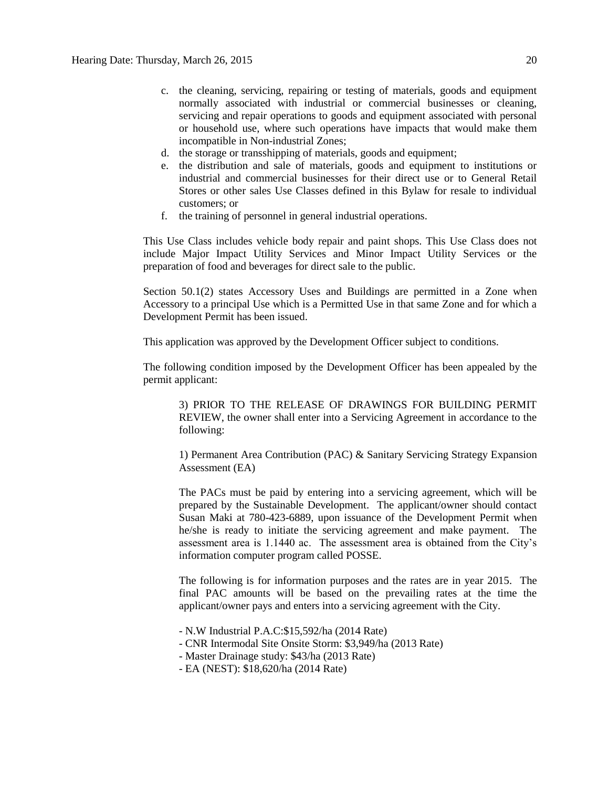- c. the cleaning, servicing, repairing or testing of materials, goods and equipment normally associated with industrial or commercial businesses or cleaning, servicing and repair operations to goods and equipment associated with personal or household use, where such operations have impacts that would make them incompatible in Non-industrial Zones;
- d. the storage or transshipping of materials, goods and equipment;
- e. the distribution and sale of materials, goods and equipment to institutions or industrial and commercial businesses for their direct use or to General Retail Stores or other sales Use Classes defined in this Bylaw for resale to individual customers; or
- f. the training of personnel in general industrial operations.

This Use Class includes vehicle body repair and paint shops. This Use Class does not include Major Impact Utility Services and Minor Impact Utility Services or the preparation of food and beverages for direct sale to the public.

Section 50.1(2) states Accessory Uses and Buildings are permitted in a Zone when Accessory to a principal Use which is a Permitted Use in that same Zone and for which a Development Permit has been issued.

This application was approved by the Development Officer subject to conditions.

The following condition imposed by the Development Officer has been appealed by the permit applicant:

3) PRIOR TO THE RELEASE OF DRAWINGS FOR BUILDING PERMIT REVIEW, the owner shall enter into a Servicing Agreement in accordance to the following:

1) Permanent Area Contribution (PAC) & Sanitary Servicing Strategy Expansion Assessment (EA)

The PACs must be paid by entering into a servicing agreement, which will be prepared by the Sustainable Development. The applicant/owner should contact Susan Maki at 780-423-6889, upon issuance of the Development Permit when he/she is ready to initiate the servicing agreement and make payment. The assessment area is 1.1440 ac. The assessment area is obtained from the City's information computer program called POSSE.

The following is for information purposes and the rates are in year 2015. The final PAC amounts will be based on the prevailing rates at the time the applicant/owner pays and enters into a servicing agreement with the City.

- N.W Industrial P.A.C:\$15,592/ha (2014 Rate)
- CNR Intermodal Site Onsite Storm: \$3,949/ha (2013 Rate)
- Master Drainage study: \$43/ha (2013 Rate)
- EA (NEST): \$18,620/ha (2014 Rate)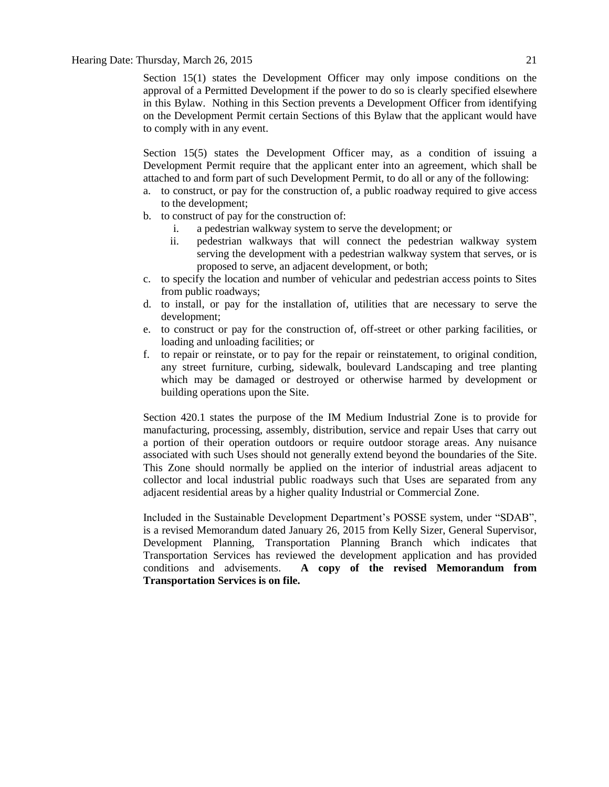Section 15(1) states the Development Officer may only impose conditions on the approval of a Permitted Development if the power to do so is clearly specified elsewhere in this Bylaw. Nothing in this Section prevents a Development Officer from identifying on the Development Permit certain Sections of this Bylaw that the applicant would have to comply with in any event.

Section 15(5) states the Development Officer may, as a condition of issuing a Development Permit require that the applicant enter into an agreement, which shall be attached to and form part of such Development Permit, to do all or any of the following:

- a. to construct, or pay for the construction of, a public roadway required to give access to the development;
- b. to construct of pay for the construction of:
	- i. a pedestrian walkway system to serve the development; or
	- ii. pedestrian walkways that will connect the pedestrian walkway system serving the development with a pedestrian walkway system that serves, or is proposed to serve, an adjacent development, or both;
- c. to specify the location and number of vehicular and pedestrian access points to Sites from public roadways;
- d. to install, or pay for the installation of, utilities that are necessary to serve the development;
- e. to construct or pay for the construction of, off-street or other parking facilities, or loading and unloading facilities; or
- f. to repair or reinstate, or to pay for the repair or reinstatement, to original condition, any street furniture, curbing, sidewalk, boulevard Landscaping and tree planting which may be damaged or destroyed or otherwise harmed by development or building operations upon the Site.

Section 420.1 states the purpose of the IM Medium Industrial Zone is to provide for manufacturing, processing, assembly, distribution, service and repair Uses that carry out a portion of their operation outdoors or require outdoor storage areas. Any nuisance associated with such Uses should not generally extend beyond the boundaries of the Site. This Zone should normally be applied on the interior of industrial areas adjacent to collector and local industrial public roadways such that Uses are separated from any adjacent residential areas by a higher quality Industrial or Commercial Zone.

Included in the Sustainable Development Department's POSSE system, under "SDAB", is a revised Memorandum dated January 26, 2015 from Kelly Sizer, General Supervisor, Development Planning, Transportation Planning Branch which indicates that Transportation Services has reviewed the development application and has provided conditions and advisements. **A copy of the revised Memorandum from Transportation Services is on file.**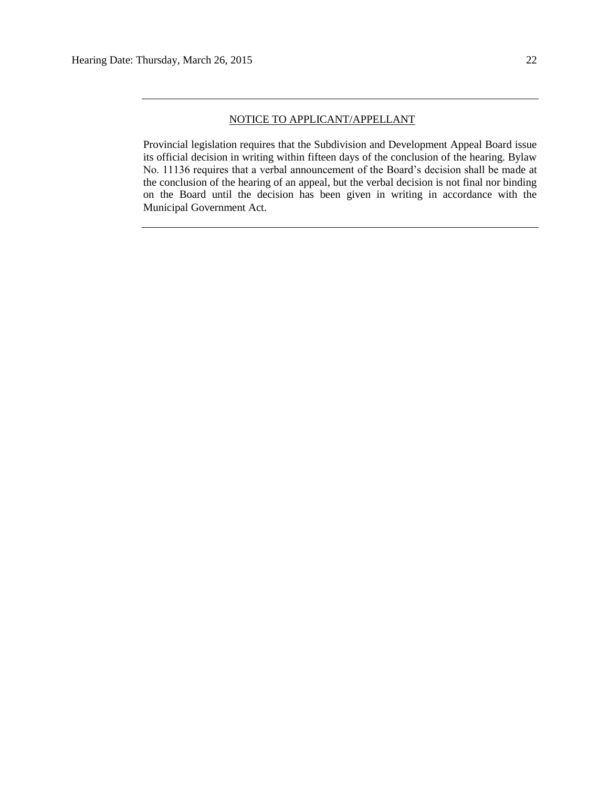## NOTICE TO APPLICANT/APPELLANT

Provincial legislation requires that the Subdivision and Development Appeal Board issue its official decision in writing within fifteen days of the conclusion of the hearing. Bylaw No. 11136 requires that a verbal announcement of the Board's decision shall be made at the conclusion of the hearing of an appeal, but the verbal decision is not final nor binding on the Board until the decision has been given in writing in accordance with the Municipal Government Act.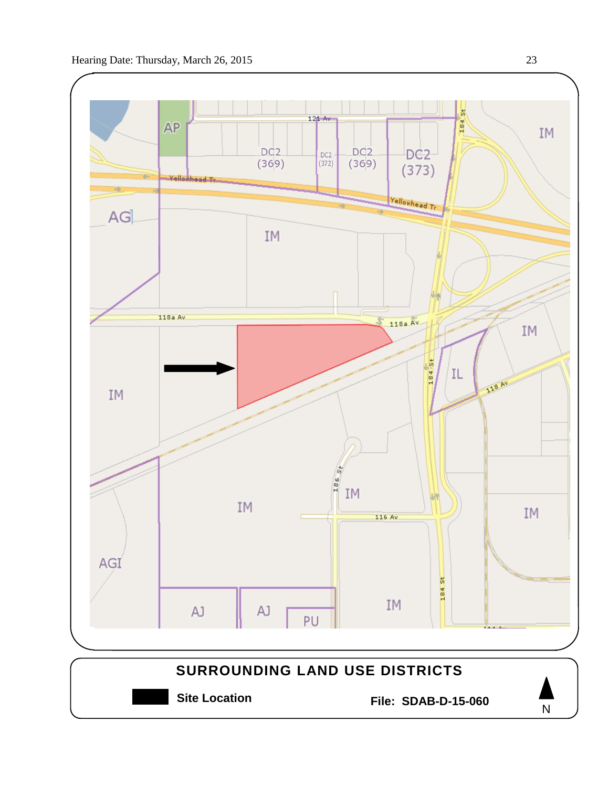